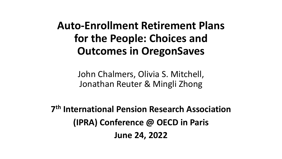**Auto-Enrollment Retirement Plans for the People: Choices and Outcomes in OregonSaves**

> John Chalmers, Olivia S. Mitchell, Jonathan Reuter & Mingli Zhong

**7th International Pension Research Association (IPRA) Conference @ OECD in Paris June 24, 2022**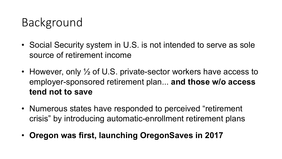# Background

- Social Security system in U.S. is not intended to serve as sole source of retirement income
- However, only  $\frac{1}{2}$  of U.S. private-sector workers have access to employer-sponsored retirement plan... **and those w/o access tend not to save**
- Numerous states have responded to perceived "retirement crisis" by introducing automatic-enrollment retirement plans
- **Oregon was first, launching OregonSaves in 2017**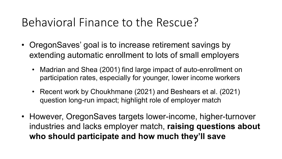## Behavioral Finance to the Rescue?

- OregonSaves' goal is to increase retirement savings by extending automatic enrollment to lots of small employers
	- Madrian and Shea (2001) find large impact of auto-enrollment on participation rates, especially for younger, lower income workers
	- Recent work by Choukhmane (2021) and Beshears et al. (2021) question long-run impact; highlight role of employer match
- However, OregonSaves targets lower-income, higher-turnover industries and lacks employer match, **raising questions about who should participate and how much they'll save**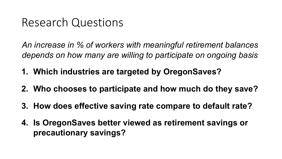## Research Questions

*An increase in % of workers with meaningful retirement balances depends on how many are willing to participate on ongoing basis*

- **1. Which industries are targeted by OregonSaves?**
- **2. Who chooses to participate and how much do they save?**
- **3. How does effective saving rate compare to default rate?**
- **4. Is OregonSaves better viewed as retirement savings or precautionary savings?**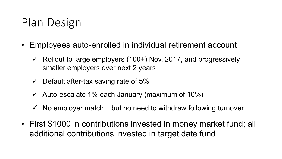# Plan Design

- Employees auto-enrolled in individual retirement account
	- $\checkmark$  Rollout to large employers (100+) Nov. 2017, and progressively smaller employers over next 2 years
	- $\checkmark$  Default after-tax saving rate of 5%
	- $\checkmark$  Auto-escalate 1% each January (maximum of 10%)
	- $\checkmark$  No employer match... but no need to withdraw following turnover
- First \$1000 in contributions invested in money market fund; all additional contributions invested in target date fund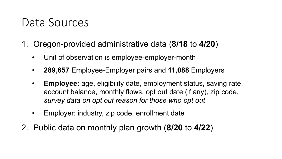## Data Sources

- 1. Oregon-provided administrative data (**8/18** to **4/20**)
	- Unit of observation is employee-employer-month
	- **289,657** Employee-Employer pairs and **11,088** Employers
	- **Employee:** age, eligibility date, employment status, saving rate, account balance, monthly flows, opt out date (if any), zip code, *survey data on opt out reason for those who opt out*
	- Employer: industry, zip code, enrollment date
- 2. Public data on monthly plan growth (**8/20** to **4/22**)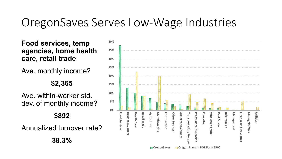## OregonSaves Serves Low-Wage Industries

**Food services, temp agencies, home health care, retail trade**

Ave. monthly income?

**\$2,365**

Ave. within-worker std. dev. of monthly income? **\$892**

Annualized turnover rate?

**38.3%**

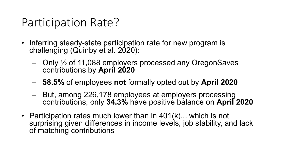## Participation Rate?

- Inferring steady-state participation rate for new program is challenging (Quinby et al. 2020):
	- $-$  Only  $\frac{1}{2}$  of 11,088 employers processed any OregonSaves contributions by **April 2020**
	- ‒ **58.5%** of employees **not** formally opted out by **April 2020**
	- ‒ But, among 226,178 employees at employers processing contributions, only **34.3%** have positive balance on **April 2020**
- Participation rates much lower than in 401(k)... which is not surprising given differences in income levels, job stability, and lack of matching contributions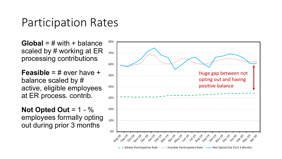### Participation Rates

**Global** = # with + balance scaled by # working at ER processing contributions

**Feasible** = # ever have + balance scaled by # active, eligible employees at ER process. contrib.

**Not Opted Out** = 1 - % employees formally opting out during prior 3 months

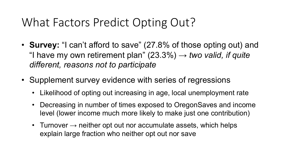# What Factors Predict Opting Out?

- **Survey:** "I can't afford to save" (27.8% of those opting out) and "I have my own retirement plan"  $(23.3\%) \rightarrow two$  valid, if quite *different, reasons not to participate*
- Supplement survey evidence with series of regressions
	- Likelihood of opting out increasing in age, local unemployment rate
	- Decreasing in number of times exposed to OregonSaves and income level (lower income much more likely to make just one contribution)
	- Turnover  $\rightarrow$  neither opt out nor accumulate assets, which helps explain large fraction who neither opt out nor save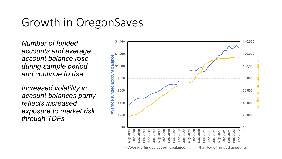## Growth in OregonSaves

*Number of funded accounts and average account balance rose during sample period and continue to rise*

*Increased volatility in account balances partly reflects increased exposure to market risk through TDFs*

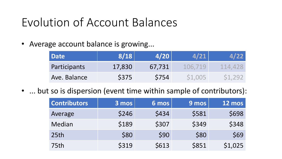# Evolution of Account Balances

• Average account balance is growing...

| <b>Date</b>  | 8/18   | 4/20   |         |         |
|--------------|--------|--------|---------|---------|
| Participants | 17,830 | 67,731 | 106.719 | 114.428 |
| Ave. Balance | \$375  | S754   | S1,005  | S1,292  |

• ... but so is dispersion (event time within sample of contributors):

| <b>Contributors</b> | $3 \overline{mos}$ | 6 mos | 9 mos | <b>12 mos</b> |
|---------------------|--------------------|-------|-------|---------------|
| Average             | \$246              | \$434 | \$581 | \$698         |
| Median              | \$189              | \$307 | \$349 | \$348         |
| 25 <sub>th</sub>    | \$80               | \$90  | \$80  | \$69          |
| 75th                | \$319              | \$613 | \$851 | \$1,025       |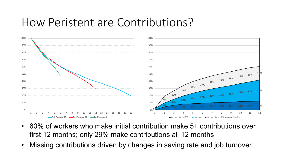#### How Peristent are Contributions?



- 60% of workers who make initial contribution make 5+ contributions over first 12 months; only 29% make contributions all 12 months
- Missing contributions driven by changes in saving rate and job turnover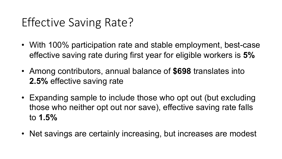# Effective Saving Rate?

- With 100% participation rate and stable employment, best-case effective saving rate during first year for eligible workers is **5%**
- Among contributors, annual balance of **\$698** translates into **2.5%** effective saving rate
- Expanding sample to include those who opt out (but excluding those who neither opt out nor save), effective saving rate falls to **1.5%**
- Net savings are certainly increasing, but increases are modest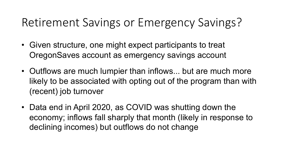# Retirement Savings or Emergency Savings?

- Given structure, one might expect participants to treat OregonSaves account as emergency savings account
- Outflows are much lumpier than inflows... but are much more likely to be associated with opting out of the program than with (recent) job turnover
- Data end in April 2020, as COVID was shutting down the economy; inflows fall sharply that month (likely in response to declining incomes) but outflows do not change